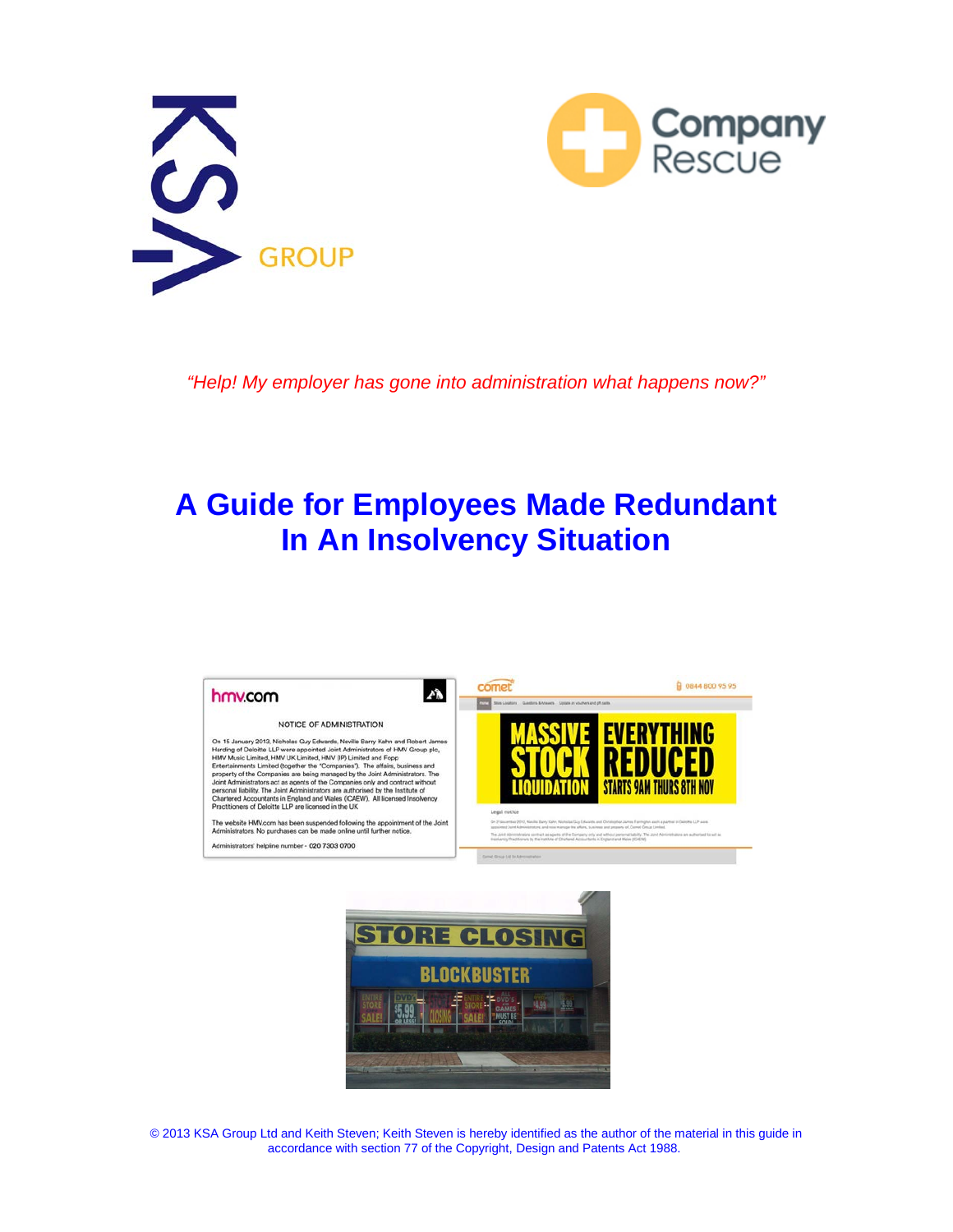



*"Help! My employer has gone into administration what happens now?"*

## **A Guide for Employees Made Redundant In An Insolvency Situation**





© 2020 KSA Group Ltd and Keith Steven; Keith Steven is hereby identified as the author of the material in this guide in accordance with section 77 of the Copyright, Design and Patents Act 1988.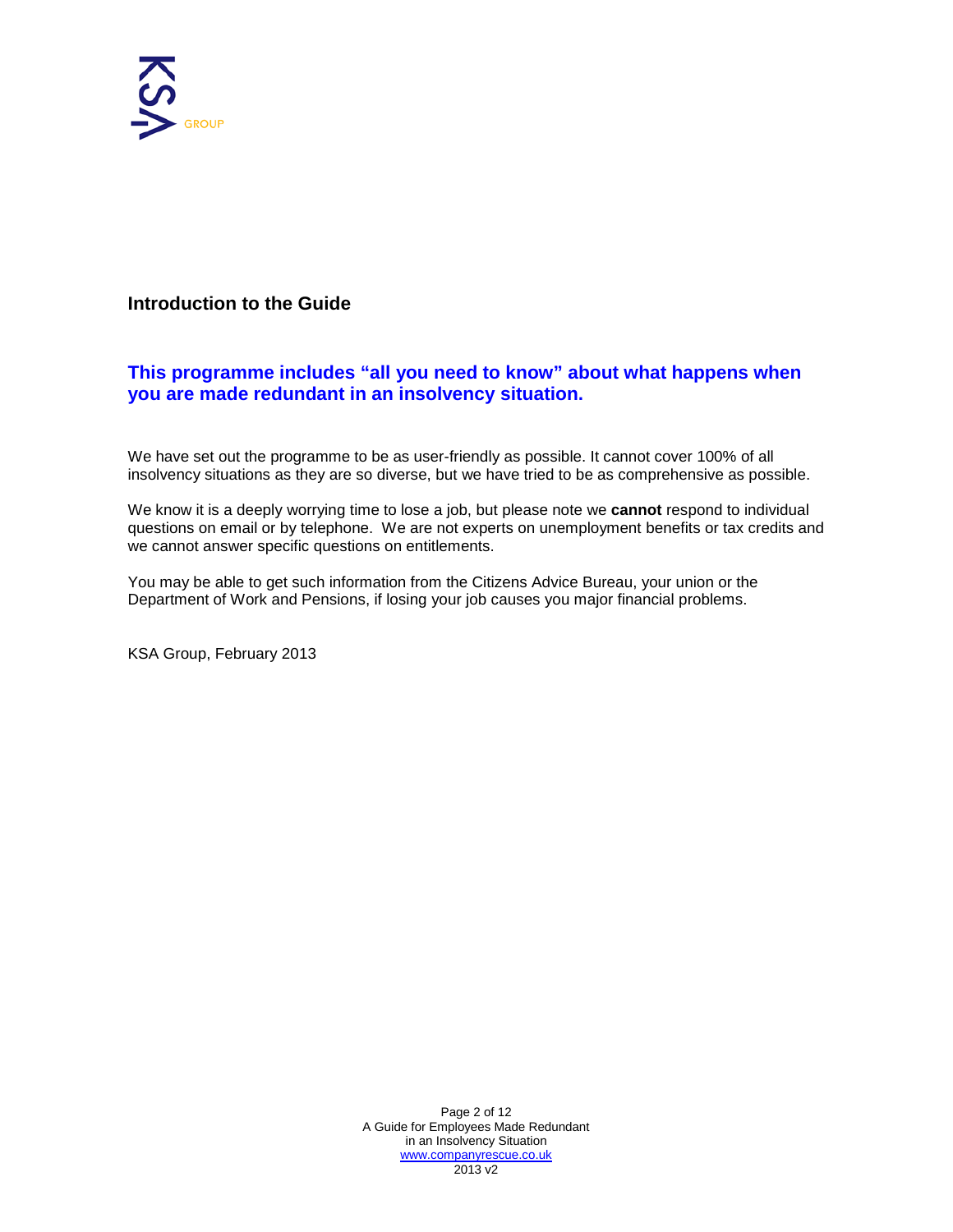

#### <span id="page-1-0"></span>**Introduction to the Guide**

#### **This programme includes "all you need to know" about what happens when you are made redundant in an insolvency situation.**

We have set out the programme to be as user-friendly as possible. It cannot cover 100% of all insolvency situations as they are so diverse, but we have tried to be as comprehensive as possible.

We know it is a deeply worrying time to lose a job, but please note we **cannot** respond to individual questions on email or by telephone. We are not experts on unemployment benefits or tax credits and we cannot answer specific questions on entitlements.

You may be able to get such information from the Citizens Advice Bureau, your union or the Department of Work and Pensions, if losing your job causes you major financial problems.

KSA Group, February 2020

Page 2 of 12 A Guide for Employees Made Redundant in an Insolvency Situation [www.companyrescue.co.uk](http://www.companyrescue.co.uk/)  2020 v2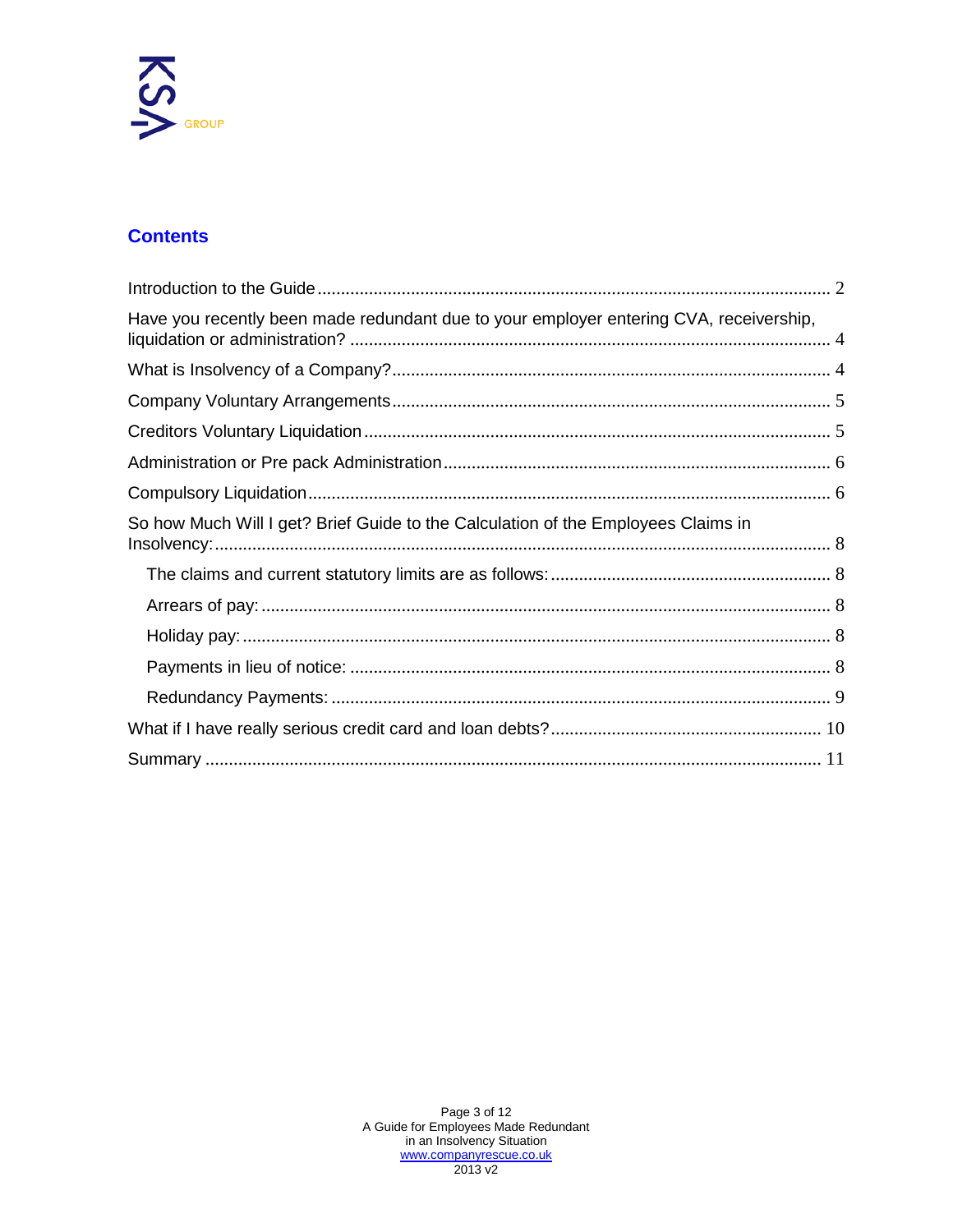

#### **Contents**

| Have you recently been made redundant due to your employer entering CVA, receivership, |  |
|----------------------------------------------------------------------------------------|--|
|                                                                                        |  |
|                                                                                        |  |
|                                                                                        |  |
|                                                                                        |  |
|                                                                                        |  |
| So how Much Will I get? Brief Guide to the Calculation of the Employees Claims in      |  |
|                                                                                        |  |
|                                                                                        |  |
|                                                                                        |  |
|                                                                                        |  |
|                                                                                        |  |
|                                                                                        |  |
|                                                                                        |  |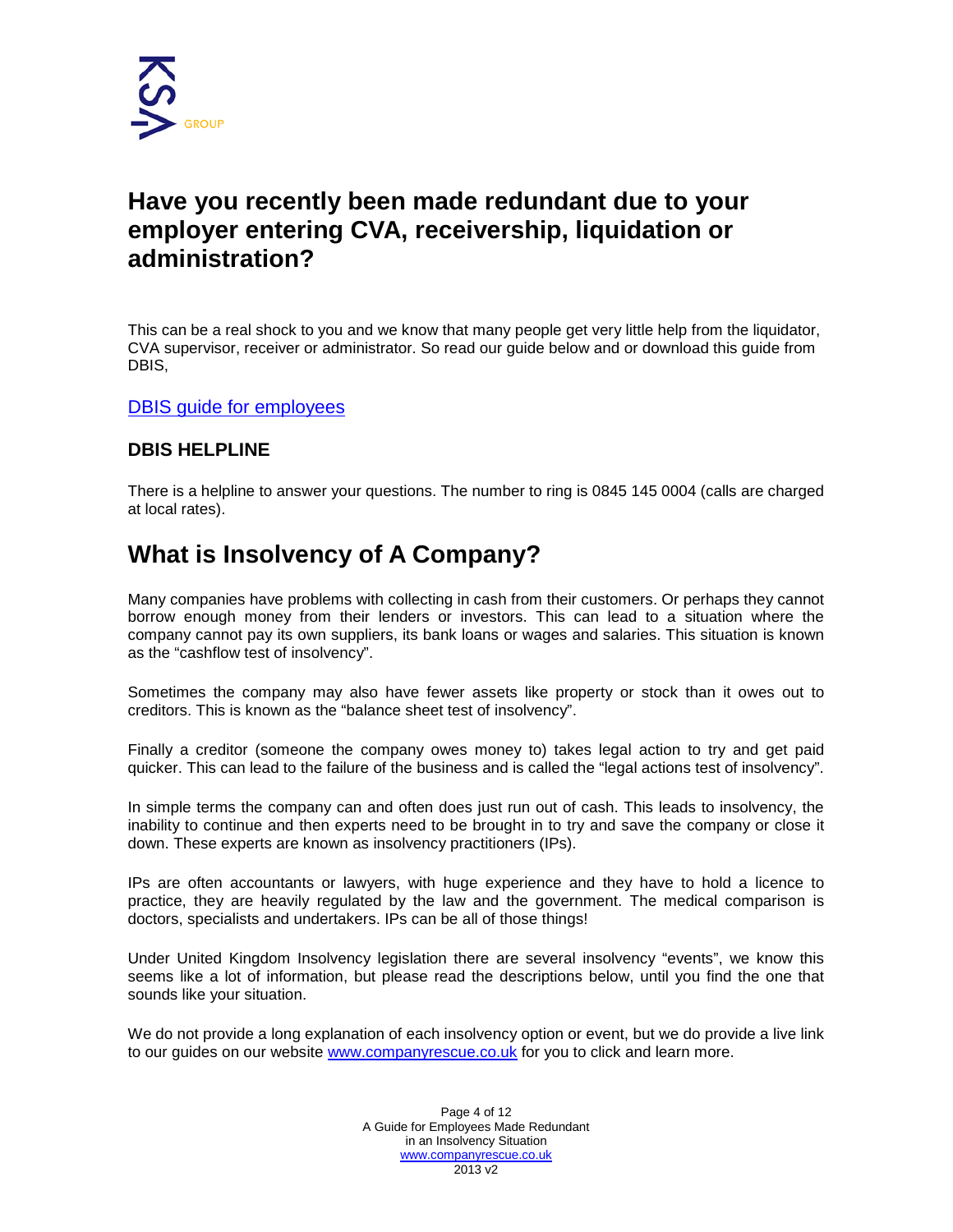

## <span id="page-3-0"></span>**Have you recently been made redundant due to your employer entering [CVA,](http://www.companyrescue.co.uk/company-rescue/options/company-voluntary-arrangement) [receivership,](http://www.companyrescue.co.uk/company-rescue/options/receivership) [liquidation](http://www.companyrescue.co.uk/company-rescue/options/creditors-voluntary-liquidation) or [administration?](http://www.companyrescue.co.uk/company-rescue/guides/employee-rights-in-administration)**

This can be a real shock to you and we know that many people get very little help from the liquidator, CVA supervisor, receiver or administrator. So read our guide below and or download this guide from DBEIS guide for employees

#### **DBEIS [HELPLINE](http://www.direct.gov.uk/en/Employment/Employees/Pay/DG_178525)**

There is a helpline to answer your questions. The number to ring is 0845 145 0004 (calls are charged at local rates).

## **What is Insolvency of A Company?**

<span id="page-3-1"></span>Many companies have problems with collecting in cash from their customers. Or perhaps they cannot borrow enough money from their lenders or investors. This can lead to a situation where the company cannot pay its own suppliers, its bank loans or wages and salaries. This situation is known as the "cashflow test of insolvency".

Sometimes the company may also have fewer assets like property or stock than it owes out to creditors. This is known as the "balance sheet test of insolvency".

Finally a creditor (someone the company owes money to) takes legal action to try and get paid quicker. This can lead to the failure of the business and is called the "legal actions test of insolvency".

In simple terms the company can and often does just run out of cash. This leads to insolvency, the inability to continue and then experts need to be brought in to try and save the company or close it down. These experts are known as insolvency practitioners (IPs).

IPs are often accountants or lawyers, with huge experience and they have to hold a licence to practice, they are heavily regulated by the law and the government. The medical comparison is doctors, specialists and undertakers. IPs can be all of those things!

Under United Kingdom Insolvency legislation there are several insolvency "events", we know this seems like a lot of information, but please read the descriptions below, until you find the one that sounds like your situation.

We do not provide a long explanation of each insolvency option or event, but we do provide a live link to our guides on our website www.companyrescue.co.uk for you to click and learn more.

> [Page 4 of](http://www.companyrescue.co.uk/) 12 A Guide for Employees Made Redundant in an Insolvency Situation www.companyrescue.co.uk 2020 v3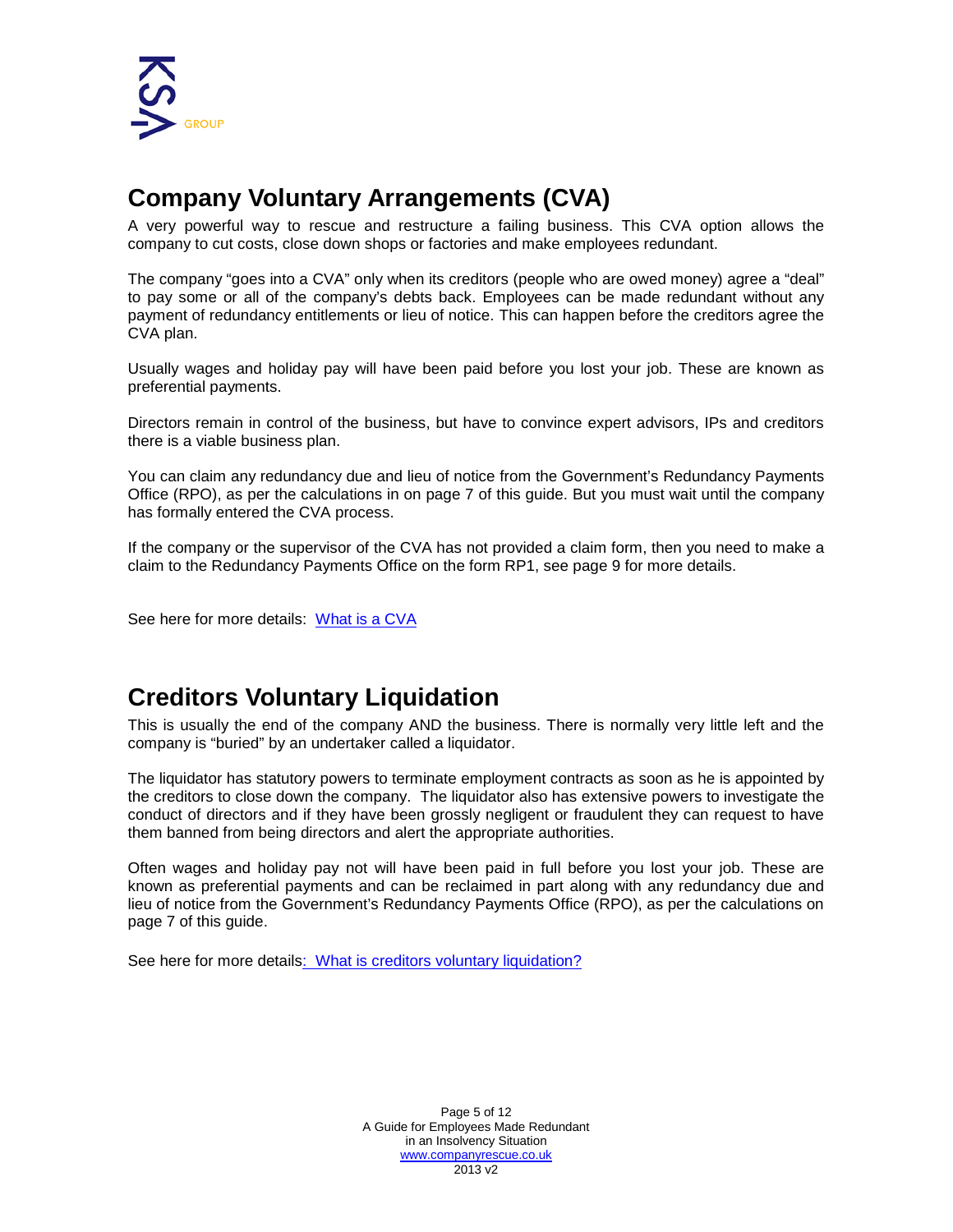

## <span id="page-4-0"></span>**Company Voluntary Arrangements (CVA)**

A very powerful way to rescue and restructure a failing business. This CVA option allows the company to cut costs, close down shops or factories and make employees redundant.

The company "goes into a CVA" only when its creditors (people who are owed money) agree a "deal" to pay some or all of the company's debts back. Employees can be made redundant without any payment of redundancy entitlements or lieu of notice. This can happen before the creditors agree the CVA plan.

Usually wages and holiday pay will have been paid before you lost your job. These are known as preferential payments.

Directors remain in control of the business, but have to convince expert advisors, IPs and creditors there is a viable business plan.

You can claim any redundancy due and lieu of notice from the Government's Redundancy Payments Office (RPO), as per the calculations in on page 7 of this guide. But you must wait until the company has formally entered the CVA process.

If the company or the supervisor of the CVA has not provided a claim form, then you need to make a claim to the Redundancy Payments Office on the form RP1, see page 9 for more details.

See here for more details: [What is](http://www.companyrescue.co.uk/company-rescue/options/company-voluntary-arrangement) a CVA

### <span id="page-4-1"></span>**Creditors Voluntary Liquidation**

This is usually the end of the company AND the business. There is normally very little left and the company is "buried" by an undertaker called a liquidator.

The liquidator has statutory powers to terminate employment contracts as soon as he is appointed by the creditors to close down the company. The liquidator also has extensive powers to investigate the conduct of directors and if they have been grossly negligent or fraudulent they can request to have them banned from being directors and alert the appropriate authorities.

Often wages and holiday pay not will have been paid in full before you lost your job. These are known as preferential payments and can be reclaimed in part along with any redundancy due and lieu of notice from the Government's Redundancy Payments Office (RPO), as per the calculations on page 7 of this guide.

See here for more details: What [is creditors voluntary](http://www.companyrescue.co.uk/company-rescue/options/creditors-voluntary-liquidation) liquidation?

Page 5 of 12 A Guide for Employees Made Redundant in an Insolvency Situation [www.companyrescue.co.uk](http://www.companyrescue.co.uk/)  2020 v3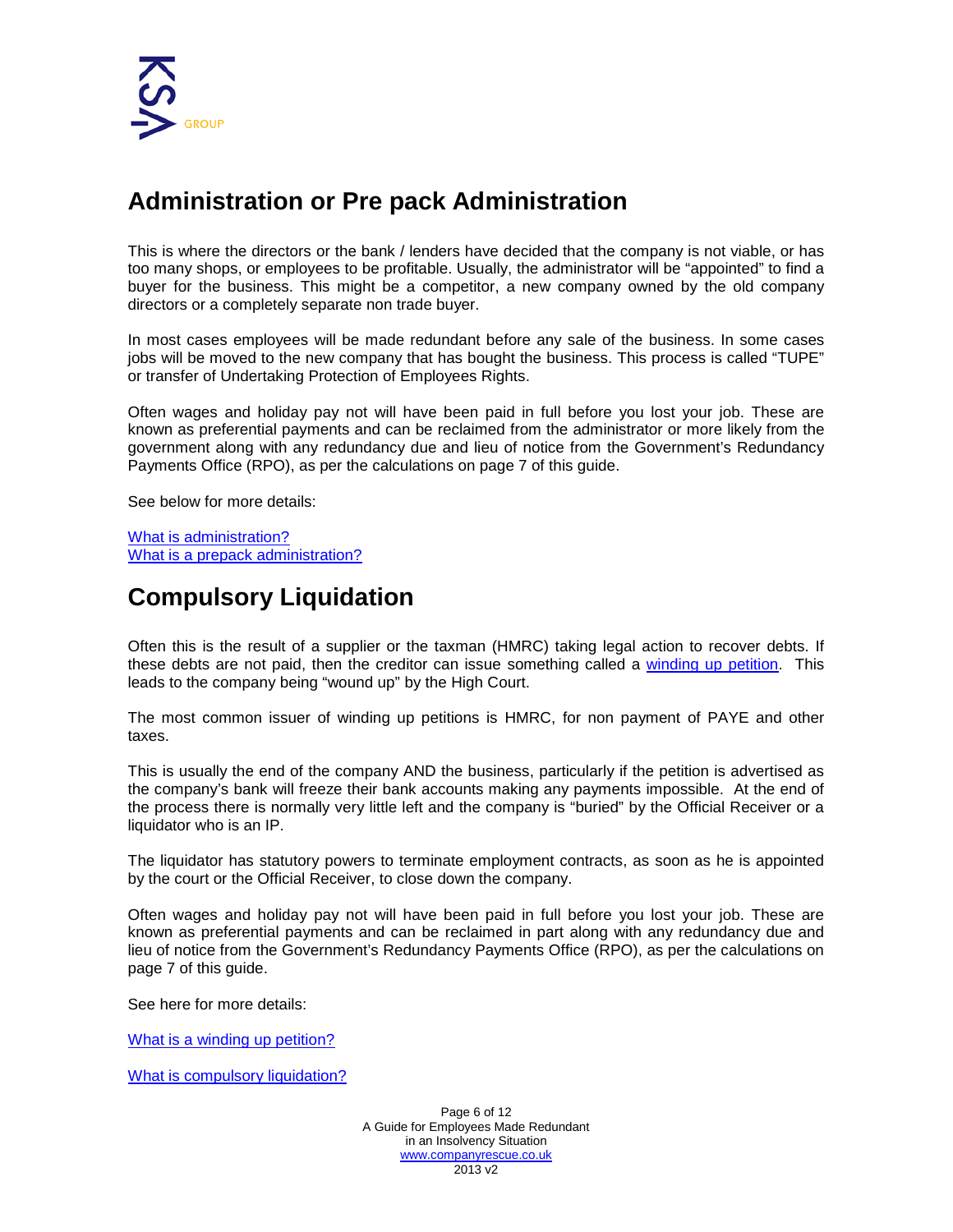

## <span id="page-5-0"></span>**Administration or Pre pack Administration**

This is where the directors or the bank / lenders have decided that the company is not viable, or has too many shops, or employees to be profitable. Usually, the administrator will be "appointed" to find a buyer for the business. This might be a competitor, a new company owned by the old company directors or a completely separate non trade buyer.

In most cases employees will be made redundant before any sale of the business. In some cases jobs will be moved to the new company that has bought the business. This process is called "TUPE" or transfer of Undertaking Protection of Employees Rights.

Often wages and holiday pay not will have been paid in full before you lost your job. These are known as preferential payments and can be reclaimed from the administrator or more likely from the government along with any redundancy due and lieu of notice from the Government's Redundancy Payments Office (RPO), as per the calculations on page 7 of this guide.

See below for more details:

What is [administration?](http://www.companyrescue.co.uk/company-rescue/options/detailed-administration) What is a prepack [administration?](http://www.companyrescue.co.uk/company-rescue/options/detailed-administration)

## <span id="page-5-1"></span>**Compulsory Liquidation**

Often this is the result of a supplier or the taxman (HMRC) taking legal action to recover debts. If these debts are not paid, then the creditor can issue something called a [winding up petition.](http://www.winding-up-petition.co.uk/) This leads to the company being "wound up" by the High Court.

The most common issuer of winding up petitions is HMRC, for non payment of PAYE and other taxes.

This is usually the end of the company AND the business, particularly if the petition is advertised as the company's bank will freeze their bank accounts making any payments impossible. At the end of the process there is normally very little left and the company is "buried" by the Official Receiver or a liquidator who is an IP.

The liquidator has statutory powers to terminate employment contracts, as soon as he is appointed by the court or the Official Receiver, to close down the company.

Often wages and holiday pay not will have been paid in full before you lost your job. These are known as preferential payments and can be reclaimed in part along with any redundancy due and lieu of notice from the Government's Redundancy Payments Office (RPO), as per the calculations on page 7 of this guide.

See here for more details:

What is [a winding up petition?](http://www.companyrescue.co.uk/company-rescue/guides/what-is-a-winding-up-petition)

[What is compulsory liquidation?](http://www.companyrescue.co.uk/company-rescue/options/compulsory-liquidation)

Page 6 of 12 A Guide for Employees Made Redundant in an Insolvency Situation [www.companyrescue.co.uk](http://www.companyrescue.co.uk/)  2020 v3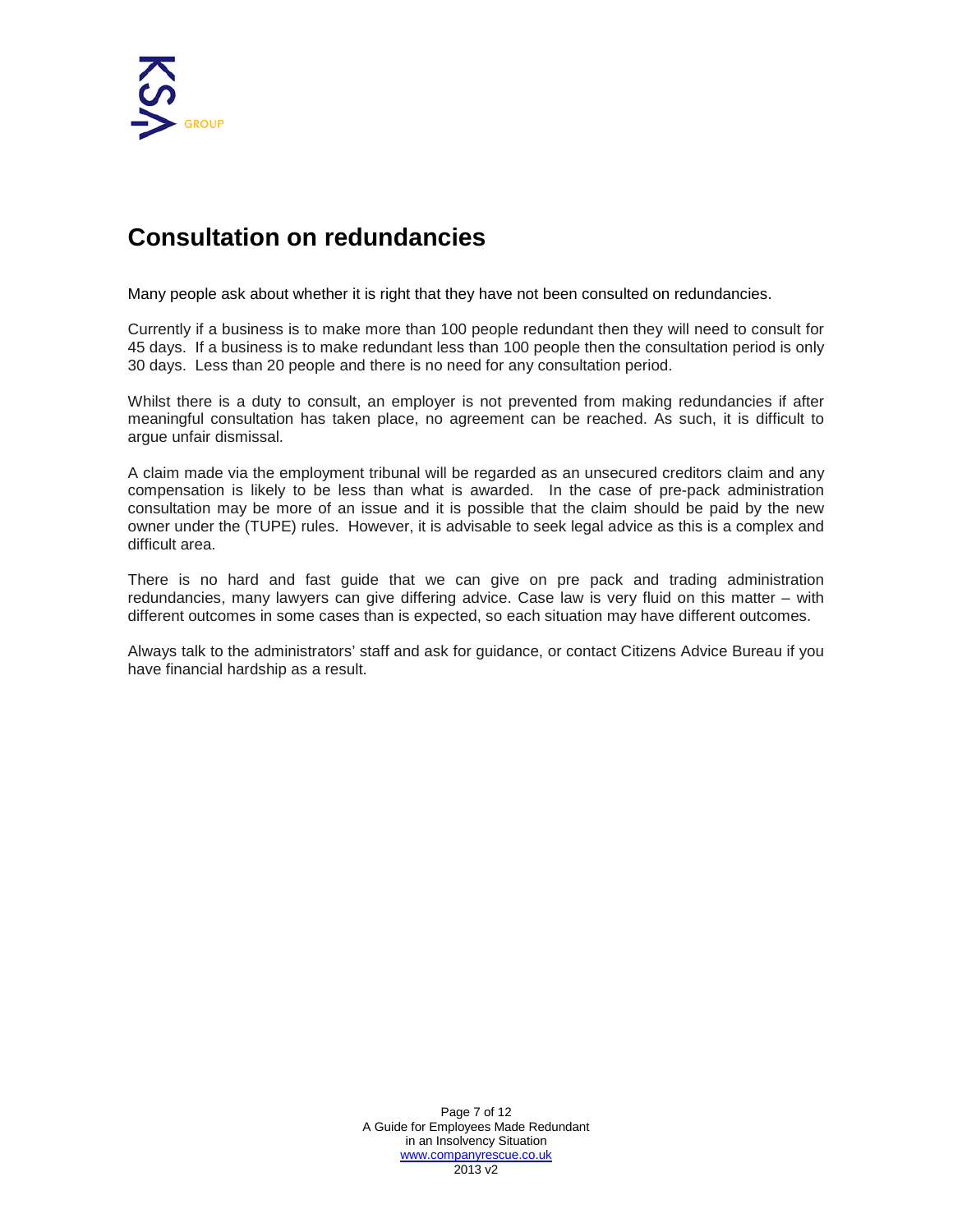

## **Consultation on redundancies**

Many people ask about whether it is right that they have not been consulted on redundancies.

Currently if a business is to make more than 100 people redundant then they will need to consult for 45 days. If a business is to make redundant less than 100 people then the consultation period is only 30 days. Less than 20 people and there is no need for any consultation period.

Whilst there is a duty to consult, an employer is not prevented from making redundancies if after meaningful consultation has taken place, no agreement can be reached. As such, it is difficult to argue unfair dismissal.

A claim made via the employment tribunal will be regarded as an unsecured creditors claim and any compensation is likely to be less than what is awarded. In the case of pre-pack administration consultation may be more of an issue and it is possible that the claim should be paid by the new owner under the (TUPE) rules. However, it is advisable to seek legal advice as this is a complex and difficult area.

There is no hard and fast guide that we can give on pre pack and trading administration redundancies, many lawyers can give differing advice. Case law is very fluid on this matter – with different outcomes in some cases than is expected, so each situation may have different outcomes.

<span id="page-6-0"></span>Always talk to the administrators' staff and ask for guidance, or contact Citizens Advice Bureau if you have financial hardship as a result.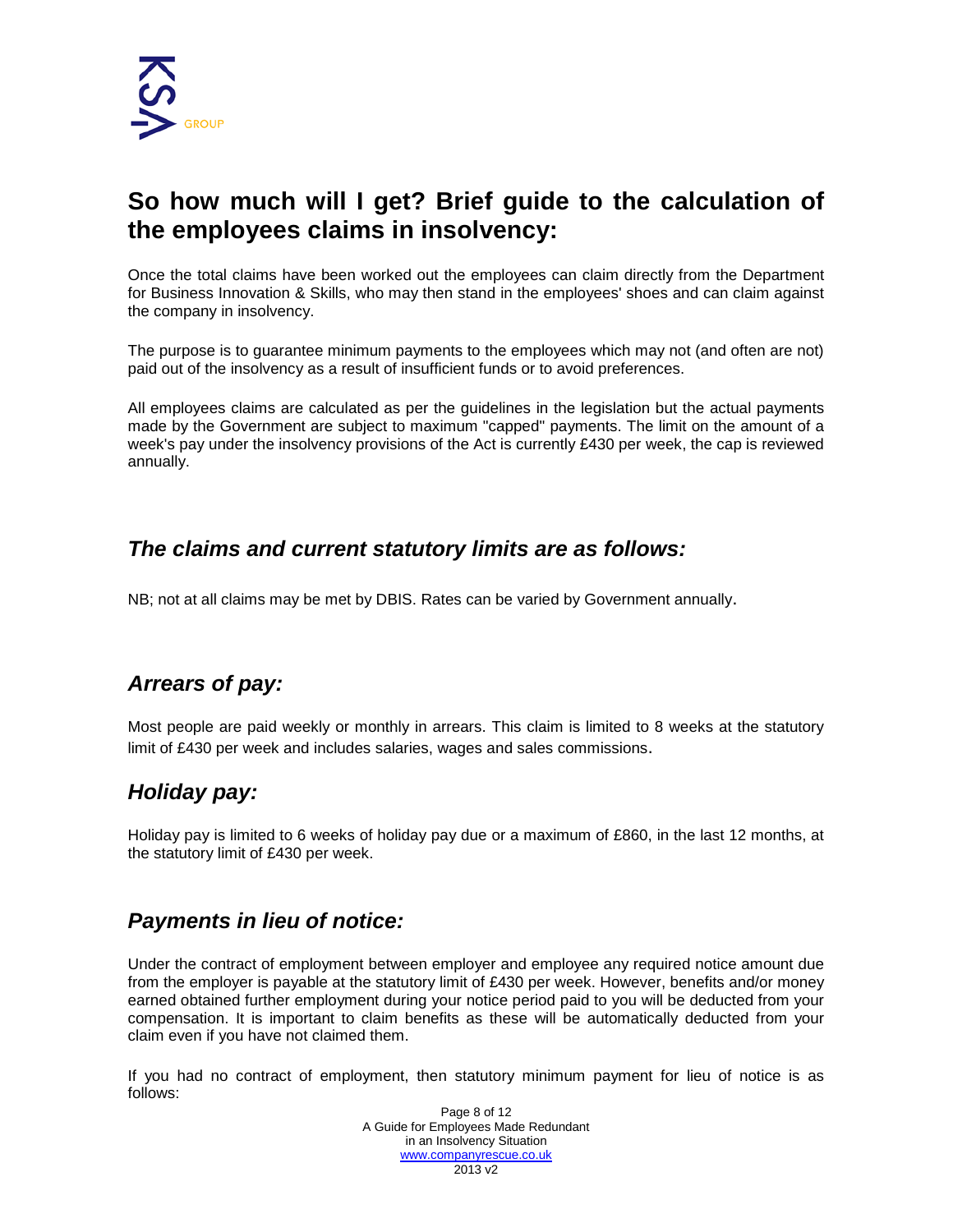

## **So how much will I get? Brief guide to the calculation of the employees claims in insolvency:**

Once the total claims have been worked out the employees can claim directly from the Department for Business Innovation & Skills, who may then stand in the employees' shoes and can claim against the company in insolvency.

The purpose is to guarantee minimum payments to the employees which may not (and often are not) paid out of the insolvency as a result of insufficient funds or to avoid preferences.

All employees claims are calculated as per the guidelines in the legislation but the actual payments made by the Government are subject to maximum "capped" payments. The limit on the amount of a week's pay under the insolvency provisions of the Act is currently £538 per week, the cap is reviewed annually.

#### <span id="page-7-0"></span>*The claims and current statutory limits are as follows:*

<span id="page-7-1"></span>NB; not at all claims may be met by DBEIS. Rates can be varied by Government annually.

#### *Arrears of pay:*

Most people are paid weekly or monthly in arrears. This claim is limited to 8 weeks at the statutory limit of £538 per week and includes salaries, wages and sales commissions.

#### <span id="page-7-2"></span>*Holiday pay:*

Holiday pay is limited to 6 weeks of holiday pay due or a maximum of £860, in the last 12 months, at the statutory limit of £538 per week.

#### <span id="page-7-3"></span>*Payments in lieu of notice:*

Under the contract of employment between employer and employee any required notice amount due from the employer is payable at the statutory limit of £538 per week. However, benefits and/or money earned obtained further employment during your notice period paid to you will be deducted from your compensation. It is important to claim benefits as these will be automatically deducted from your claim even if you have not claimed them.

If you had no contract of employment, then statutory minimum payment for lieu of notice is as follows:

> Page 8 of 12 A Guide for Employees Made Redundant in an Insolvency Situation [www.companyrescue.co.uk](http://www.companyrescue.co.uk/)  2020 v3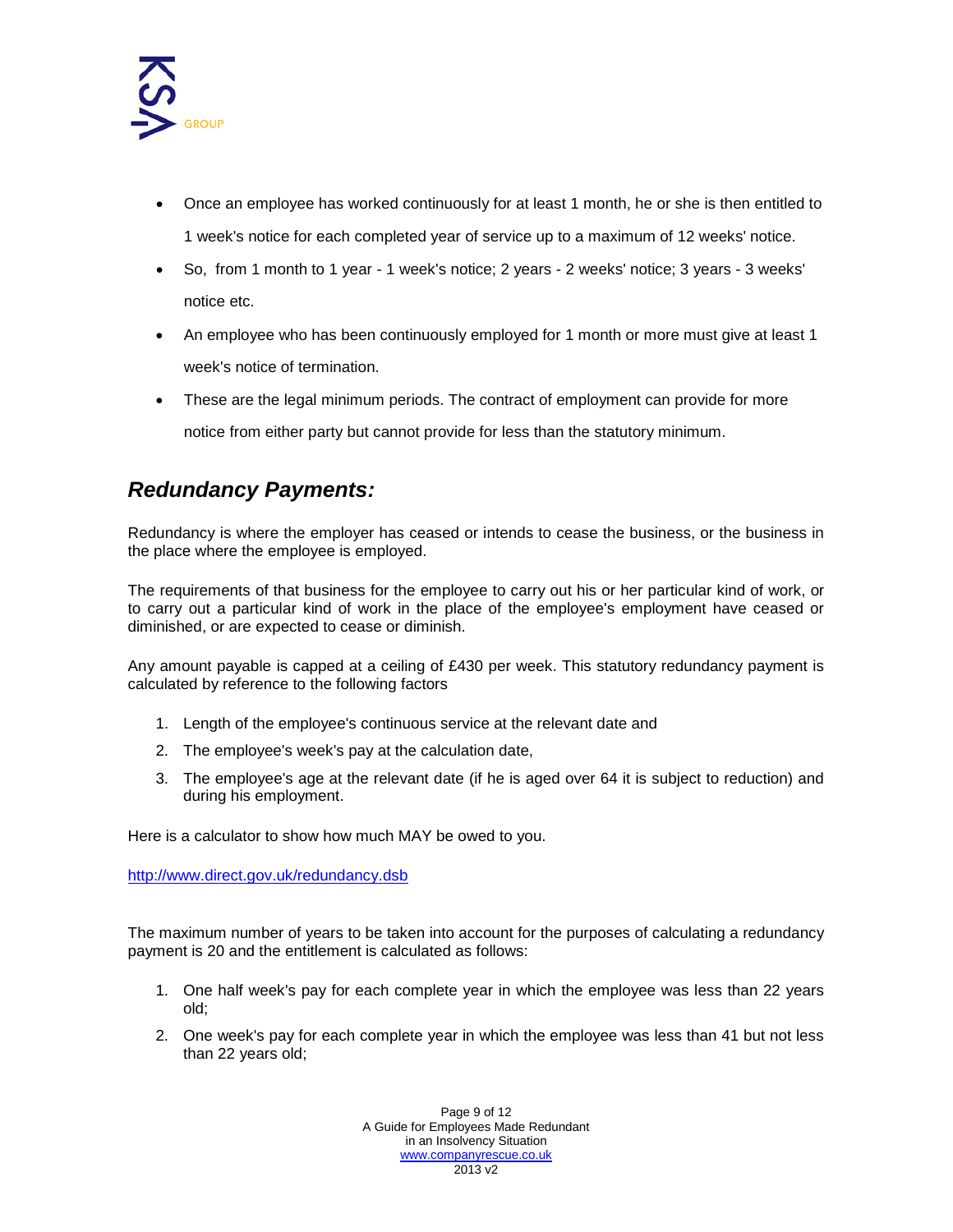

- Once an employee has worked continuously for at least 1 month, he or she is then entitled to 1 week's notice for each completed year of service up to a maximum of 12 weeks' notice.
- So, from 1 month to 1 year 1 week's notice; 2 years 2 weeks' notice; 3 years 3 weeks' notice etc.
- An employee who has been continuously employed for 1 month or more must give at least 1 week's notice of termination.
- These are the legal minimum periods. The contract of employment can provide for more

notice from either party but cannot provide for less than the statutory minimum.

#### <span id="page-8-0"></span>*Redundancy Payments:*

Redundancy is where the employer has ceased or intends to cease the business, or the business in the place where the employee is employed.

The requirements of that business for the employee to carry out his or her particular kind of work, or to carry out a particular kind of work in the place of the employee's employment have ceased or diminished, or are expected to cease or diminish.

Any amount payable is capped at a ceiling of £538 per week. This statutory redundancy payment is calculated by reference to the following factors

- 1. Length of the employee's continuous service at the relevant date and
- 2. The employee's week's pay at the calculation date,
- 3. The employee's age at the relevant date (if he is aged over 64 it is subject to reduction) and during his employment.

Here is a calculator to show how much MAY be owed to you.

<http://www.direct.gov.uk/redundancy.dsb>

The maximum number of years to be taken into account for the purposes of calculating a redundancy payment is 20 and the entitlement is calculated as follows:

- 1. One half week's pay for each complete year in which the employee was less than 22 years old;
- 2. One week's pay for each complete year in which the employee was less than 41 but not less than 22 years old;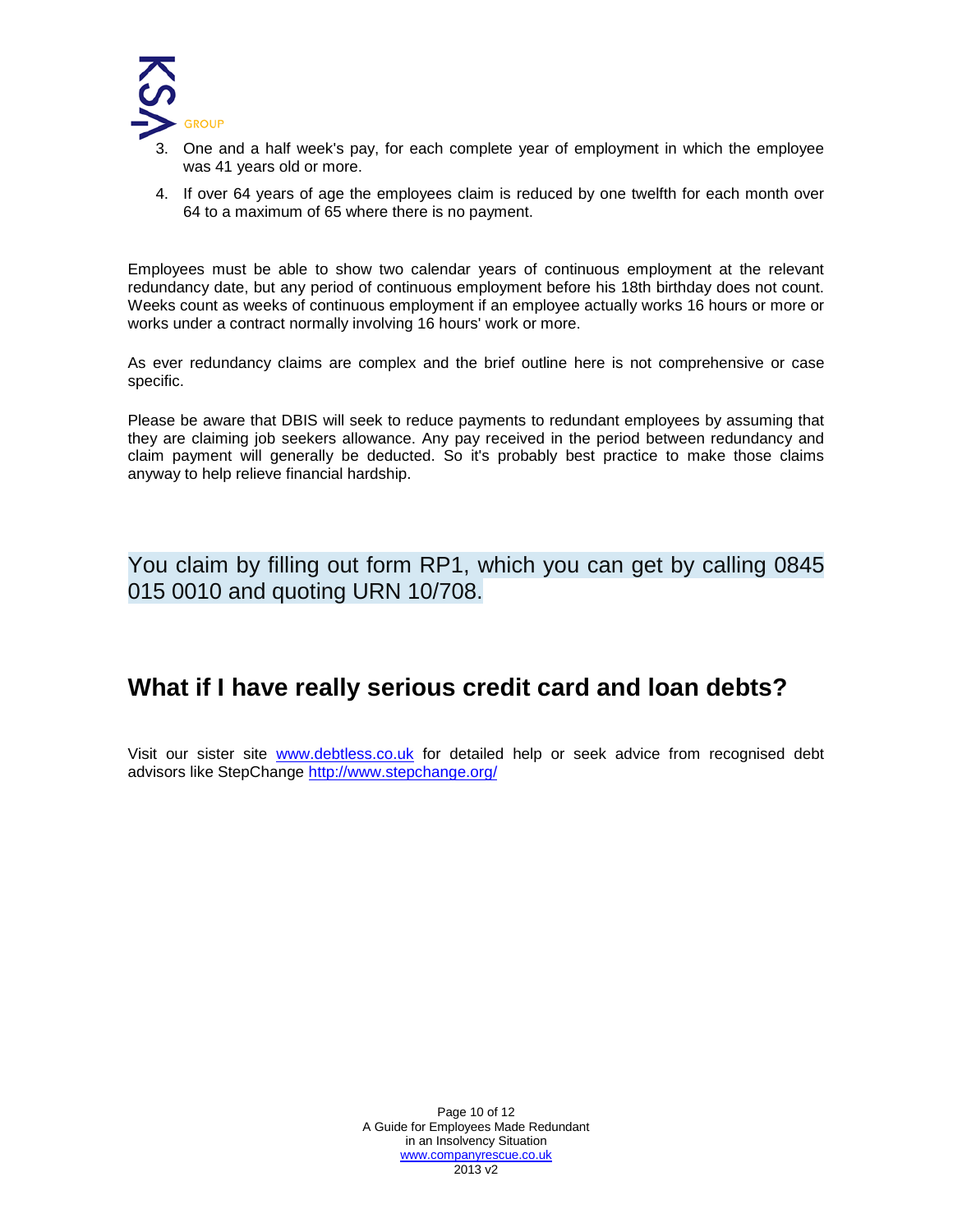

- 3. One and a half week's pay, for each complete year of employment in which the employee was 41 years old or more.
- 4. If over 64 years of age the employees claim is reduced by one twelfth for each month over 64 to a maximum of 65 where there is no payment.

Employees must be able to show two calendar years of continuous employment at the relevant redundancy date, but any period of continuous employment before his 18th birthday does not count. Weeks count as weeks of continuous employment if an employee actually works 16 hours or more or works under a contract normally involving 16 hours' work or more.

As ever redundancy claims are complex and the brief outline here is not comprehensive or case specific.

Please be aware that DBEIS will seek to reduce payments to redundant employees by assuming that they are claiming job seekers allowance. Any pay received in the period between redundancy and claim payment will generally be deducted. So it's probably best practice to make those claims anyway to help relieve financial hardship.

You claim by filling out form RP1, which you can get by calling 0845 015 0010 and quoting URN 10/708.

### <span id="page-9-0"></span>**What if I have really serious credit card and loan debts?**

<span id="page-9-1"></span>Visit our sister site [www.debtless.co.uk](http://www.debtless.co.uk/) for detailed help or seek advice from recognised debt advisors like StepChange<http://www.stepchange.org/>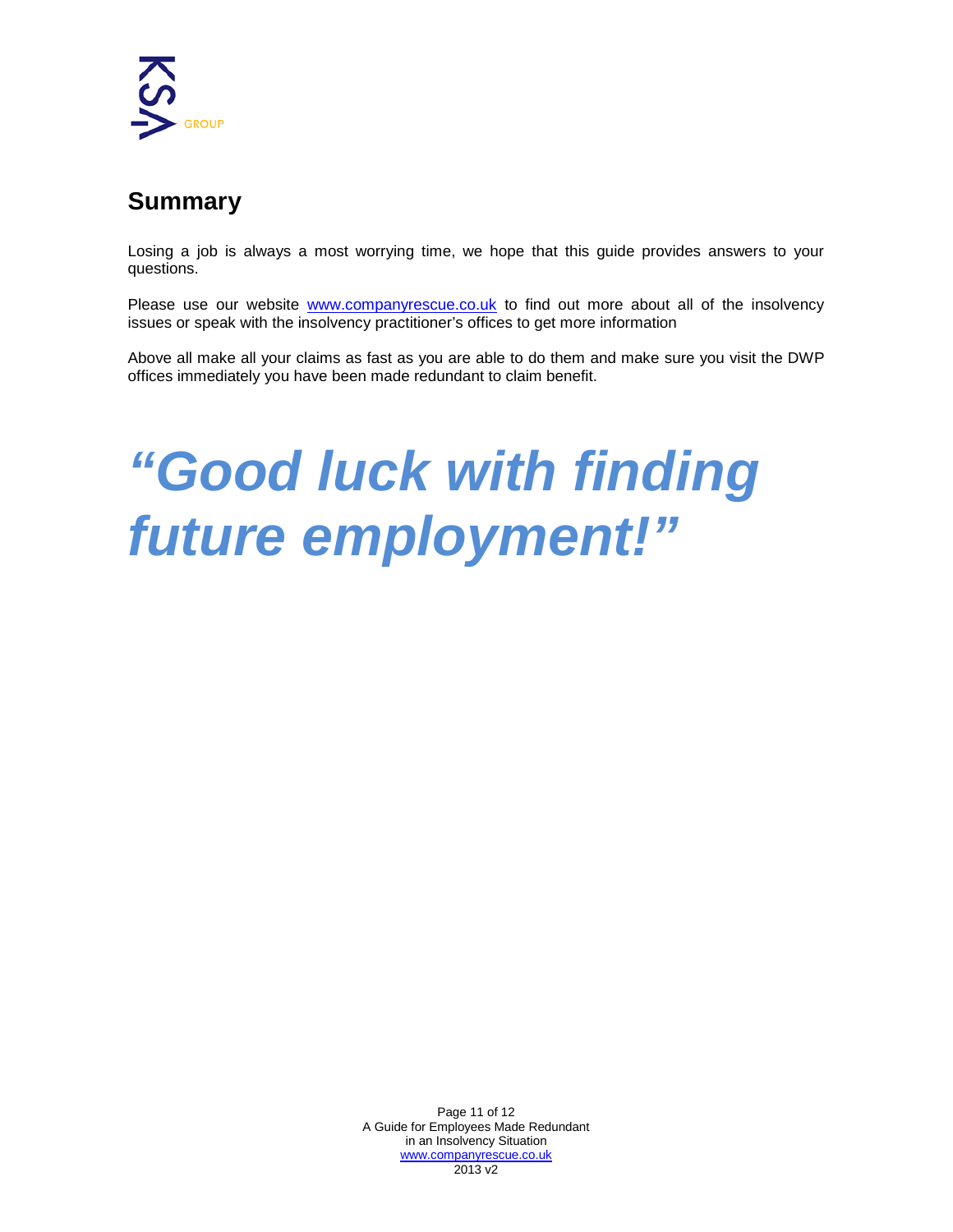

## **Summary**

Losing a job is always a most worrying time, we hope that this guide provides answers to your questions.

Please use our website [www.companyrescue.co.uk](http://www.companyrescue.co.uk/) to find out more about all of the insolvency issues or speak with the insolvency practitioner's offices to get more information

Above all make all your claims as fast as you are able to do them and make sure you visit the DWP offices immediately you have been made redundant to claim benefit.

# *"Good luck with finding future employment!"*